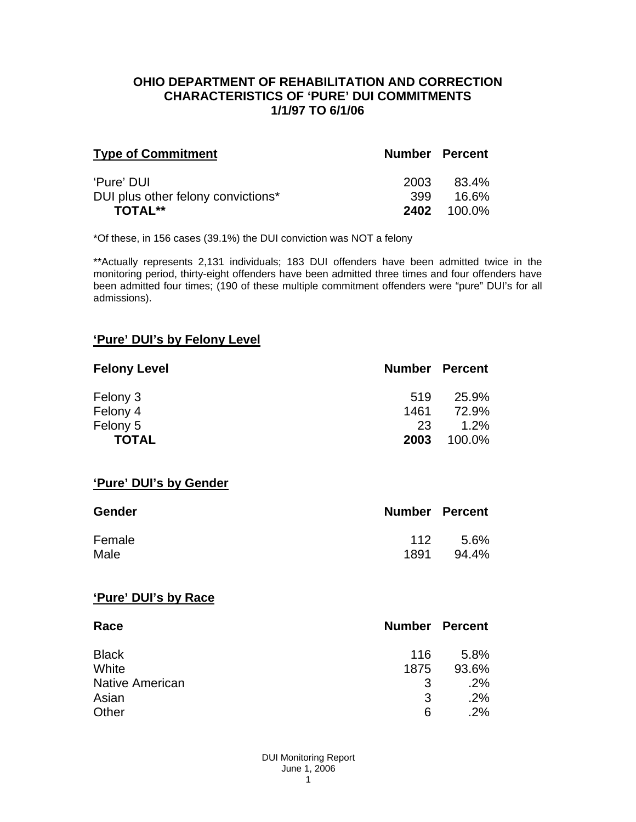#### **OHIO DEPARTMENT OF REHABILITATION AND CORRECTION CHARACTERISTICS OF 'PURE' DUI COMMITMENTS 1/1/97 TO 6/1/06**

| <b>Type of Commitment</b>          | <b>Number Percent</b> |                    |
|------------------------------------|-----------------------|--------------------|
| 'Pure' DUI                         | 2003                  | 83.4%              |
| DUI plus other felony convictions* | 399.                  | 16.6%              |
| <b>TOTAL**</b>                     |                       | <b>2402</b> 100.0% |

\*Of these, in 156 cases (39.1%) the DUI conviction was NOT a felony

\*\*Actually represents 2,131 individuals; 183 DUI offenders have been admitted twice in the monitoring period, thirty-eight offenders have been admitted three times and four offenders have been admitted four times; (190 of these multiple commitment offenders were "pure" DUI's for all admissions).

## **'Pure' DUI's by Felony Level**

| <b>Felony Level</b> | <b>Number Percent</b> |         |
|---------------------|-----------------------|---------|
| Felony 3            | 519                   | 25.9%   |
| Felony 4            | 1461                  | 72.9%   |
| Felony 5            | 23                    | $1.2\%$ |
| <b>TOTAL</b>        | 2003                  | 100.0%  |

#### **'Pure' DUI's by Gender**

| <b>Gender</b> | <b>Number Percent</b> |       |
|---------------|-----------------------|-------|
| Female        | 112                   | -5.6% |
| Male          | 1891                  | 94.4% |

#### **'Pure' DUI's by Race**

| Race                   | <b>Number Percent</b> |       |
|------------------------|-----------------------|-------|
| <b>Black</b>           | 116                   | 5.8%  |
| White                  | 1875                  | 93.6% |
| <b>Native American</b> | 3                     | .2%   |
| Asian                  | 3                     | .2%   |
| Other                  | 6                     | .2%   |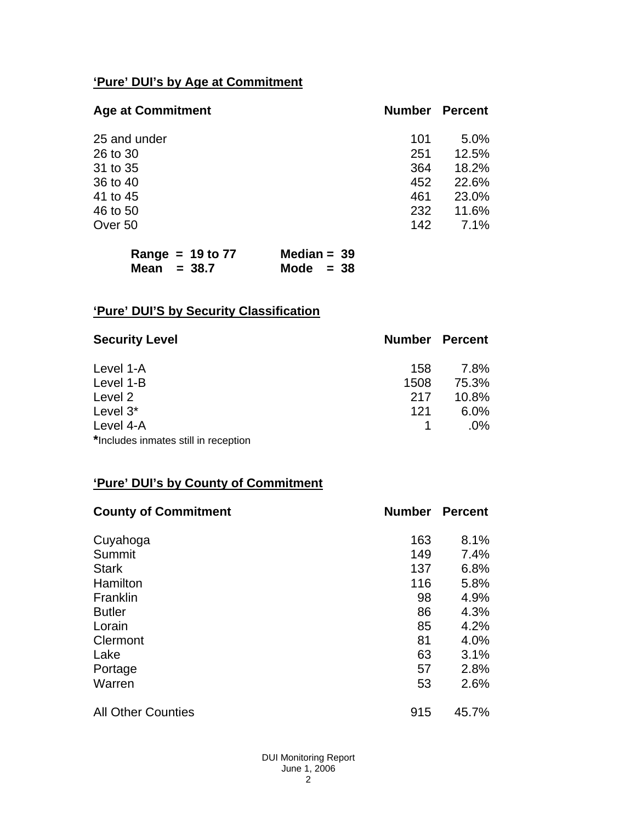# **'Pure' DUI's by Age at Commitment**

| <b>Number</b> | <b>Percent</b> |
|---------------|----------------|
| 101           | 5.0%           |
| 251           | 12.5%          |
| 364           | 18.2%          |
| 452           | 22.6%          |
| 461           | 23.0%          |
| 232           | 11.6%          |
| 142           | 7.1%           |
|               |                |

| Range = $19$ to $77$ | Median = $39$ |  |
|----------------------|---------------|--|
| Mean $= 38.7$        | Mode $= 38$   |  |

# **'Pure' DUI'S by Security Classification**

| <b>Security Level</b>                | <b>Number Percent</b> |        |
|--------------------------------------|-----------------------|--------|
| Level 1-A                            | 158                   | 7.8%   |
| Level 1-B                            | 1508                  | 75.3%  |
| Level 2                              | 217                   | 10.8%  |
| Level 3*                             | 121                   | 6.0%   |
| Level 4-A                            |                       | $.0\%$ |
| *Includes inmates still in reception |                       |        |

# **'Pure' DUI's by County of Commitment**

| <b>County of Commitment</b> | <b>Number</b> | <b>Percent</b> |
|-----------------------------|---------------|----------------|
| Cuyahoga                    | 163           | 8.1%           |
| Summit                      | 149           | 7.4%           |
| <b>Stark</b>                | 137           | 6.8%           |
| Hamilton                    | 116           | 5.8%           |
| Franklin                    | 98            | 4.9%           |
| <b>Butler</b>               | 86            | 4.3%           |
| Lorain                      | 85            | 4.2%           |
| Clermont                    | 81            | 4.0%           |
| Lake                        | 63            | 3.1%           |
| Portage                     | 57            | 2.8%           |
| Warren                      | 53            | 2.6%           |
| <b>All Other Counties</b>   | 915           | 45.7%          |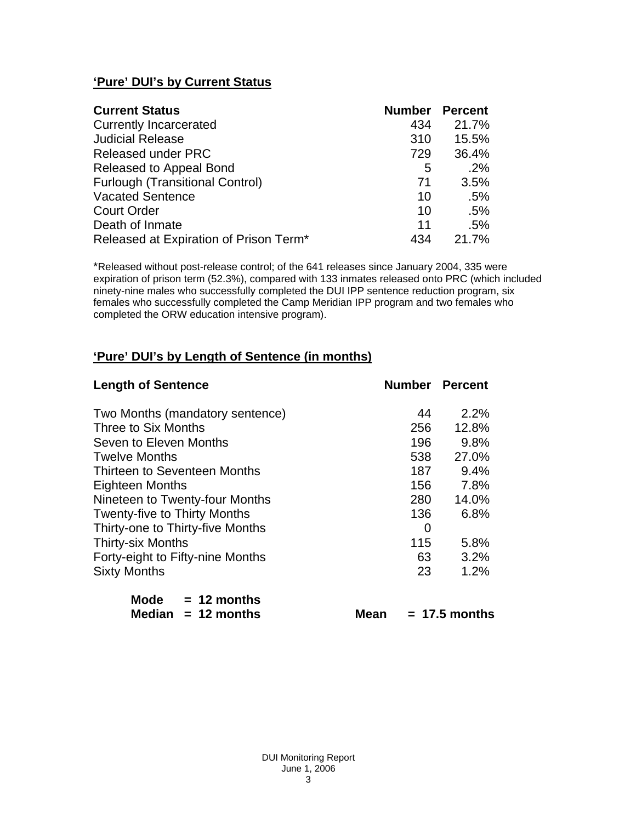## **'Pure' DUI's by Current Status**

| <b>Current Status</b>                  | <b>Number</b> | <b>Percent</b> |
|----------------------------------------|---------------|----------------|
| <b>Currently Incarcerated</b>          | 434           | 21.7%          |
| <b>Judicial Release</b>                | 310           | 15.5%          |
| <b>Released under PRC</b>              | 729           | 36.4%          |
| Released to Appeal Bond                | 5             | .2%            |
| <b>Furlough (Transitional Control)</b> | 71            | 3.5%           |
| <b>Vacated Sentence</b>                | 10            | .5%            |
| <b>Court Order</b>                     | 10            | .5%            |
| Death of Inmate                        | 11            | .5%            |
| Released at Expiration of Prison Term* | 434           | 21.7%          |

\*Released without post-release control; of the 641 releases since January 2004, 335 were expiration of prison term (52.3%), compared with 133 inmates released onto PRC (which included ninety-nine males who successfully completed the DUI IPP sentence reduction program, six females who successfully completed the Camp Meridian IPP program and two females who completed the ORW education intensive program).

## **'Pure' DUI's by Length of Sentence (in months)**

| <b>Length of Sentence</b>           | <b>Number Percent</b> |                 |
|-------------------------------------|-----------------------|-----------------|
| Two Months (mandatory sentence)     | 44                    | 2.2%            |
| Three to Six Months                 | 256                   | 12.8%           |
| Seven to Eleven Months              | 196                   | 9.8%            |
| <b>Twelve Months</b>                | 538                   | 27.0%           |
| Thirteen to Seventeen Months        | 187                   | 9.4%            |
| <b>Eighteen Months</b>              | 156                   | 7.8%            |
| Nineteen to Twenty-four Months      | 280                   | 14.0%           |
| <b>Twenty-five to Thirty Months</b> | 136                   | 6.8%            |
| Thirty-one to Thirty-five Months    | 0                     |                 |
| <b>Thirty-six Months</b>            | 115                   | 5.8%            |
| Forty-eight to Fifty-nine Months    | 63                    | 3.2%            |
| <b>Sixty Months</b>                 | 23                    | 1.2%            |
| Mode $= 12$ months                  |                       |                 |
| Median $= 12$ months<br>Mean        |                       | $= 17.5$ months |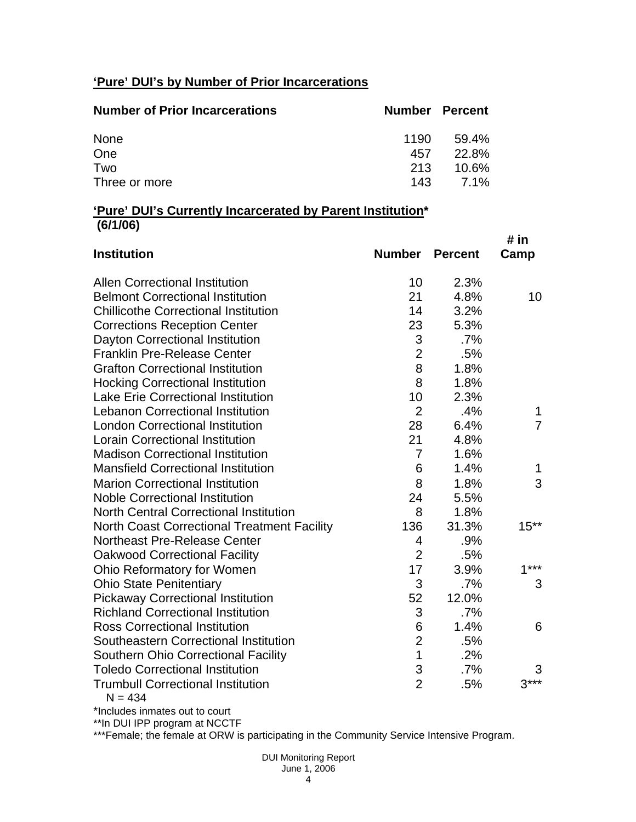# **'Pure' DUI's by Number of Prior Incarcerations**

| <b>Number of Prior Incarcerations</b> | <b>Number Percent</b> |                   |
|---------------------------------------|-----------------------|-------------------|
| None                                  | 1190                  | 59.4%             |
| One                                   | 457                   | 22.8%             |
| Two                                   | 213                   | 10.6%             |
| Three or more                         |                       | $143 \quad 7.1\%$ |

#### **'Pure' DUI's Currently Incarcerated by Parent Institution\* (6/1/06)**

| <b>Institution</b>                                    | <b>Number</b>  | <b>Percent</b> | # in<br>Camp   |
|-------------------------------------------------------|----------------|----------------|----------------|
| <b>Allen Correctional Institution</b>                 | 10             | 2.3%           |                |
| <b>Belmont Correctional Institution</b>               | 21             | 4.8%           | 10             |
| <b>Chillicothe Correctional Institution</b>           | 14             | 3.2%           |                |
| <b>Corrections Reception Center</b>                   | 23             | 5.3%           |                |
| Dayton Correctional Institution                       | 3              | $.7\%$         |                |
| <b>Franklin Pre-Release Center</b>                    | $\overline{2}$ | .5%            |                |
| <b>Grafton Correctional Institution</b>               | 8              | 1.8%           |                |
| <b>Hocking Correctional Institution</b>               | 8              | 1.8%           |                |
| <b>Lake Erie Correctional Institution</b>             | 10             | 2.3%           |                |
| <b>Lebanon Correctional Institution</b>               | $\overline{2}$ | .4%            | 1              |
| <b>London Correctional Institution</b>                | 28             | 6.4%           | $\overline{7}$ |
| <b>Lorain Correctional Institution</b>                | 21             | 4.8%           |                |
| <b>Madison Correctional Institution</b>               | $\overline{7}$ | 1.6%           |                |
| <b>Mansfield Correctional Institution</b>             | 6              | 1.4%           | 1              |
| <b>Marion Correctional Institution</b>                | 8              | 1.8%           | 3              |
| <b>Noble Correctional Institution</b>                 | 24             | 5.5%           |                |
| <b>North Central Correctional Institution</b>         | 8              | 1.8%           |                |
| <b>North Coast Correctional Treatment Facility</b>    | 136            | 31.3%          | $15**$         |
| <b>Northeast Pre-Release Center</b>                   | 4              | .9%            |                |
| <b>Oakwood Correctional Facility</b>                  | $\overline{2}$ | .5%            |                |
| Ohio Reformatory for Women                            | 17             | 3.9%           | $1***$         |
| <b>Ohio State Penitentiary</b>                        | 3              | .7%            | 3              |
| <b>Pickaway Correctional Institution</b>              | 52             | 12.0%          |                |
| <b>Richland Correctional Institution</b>              | 3              | .7%            |                |
| <b>Ross Correctional Institution</b>                  | 6              | 1.4%           | 6              |
| Southeastern Correctional Institution                 | $\overline{2}$ | .5%            |                |
| <b>Southern Ohio Correctional Facility</b>            | $\overline{1}$ | .2%            |                |
| <b>Toledo Correctional Institution</b>                | 3              | .7%            | 3              |
| <b>Trumbull Correctional Institution</b><br>$N = 434$ | $\overline{2}$ | .5%            | $3***$         |

\*Includes inmates out to court

\*\*In DUI IPP program at NCCTF

\*\*\*Female; the female at ORW is participating in the Community Service Intensive Program.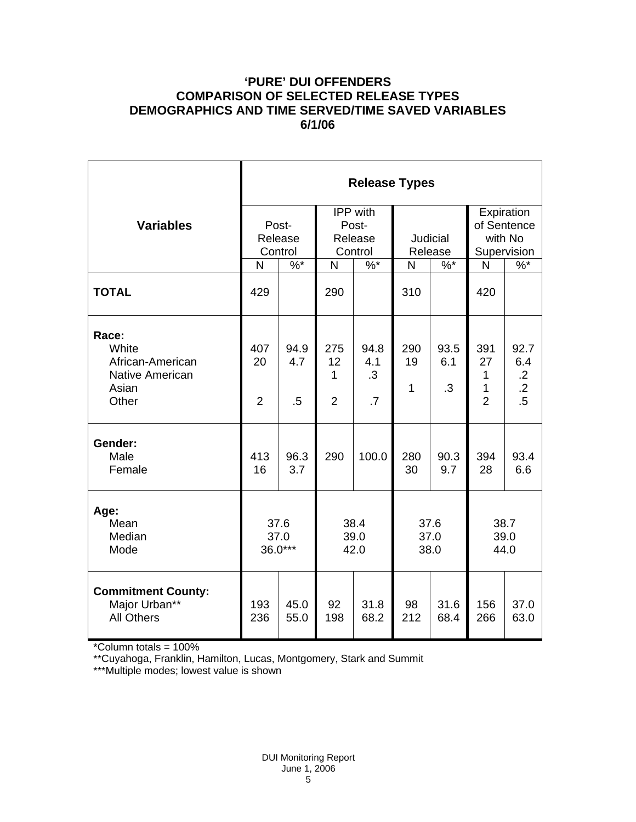## **'PURE' DUI OFFENDERS COMPARISON OF SELECTED RELEASE TYPES DEMOGRAPHICS AND TIME SERVED/TIME SAVED VARIABLES 6/1/06**

|                                                                         | <b>Release Types</b>        |                       |                                                |                                |                            |                   |                                                     |                                                    |  |
|-------------------------------------------------------------------------|-----------------------------|-----------------------|------------------------------------------------|--------------------------------|----------------------------|-------------------|-----------------------------------------------------|----------------------------------------------------|--|
| <b>Variables</b>                                                        | Post-<br>Release<br>Control |                       | <b>IPP</b> with<br>Post-<br>Release<br>Control |                                | <b>Judicial</b><br>Release |                   | Expiration<br>of Sentence<br>with No<br>Supervision |                                                    |  |
|                                                                         | N                           | $\frac{9}{6}$         | N                                              | $\frac{9}{6}$                  | N                          | $\%$ *            | $\mathsf{N}$                                        | $\sqrt[6]{6}$                                      |  |
| <b>TOTAL</b>                                                            | 429                         |                       | 290                                            |                                | 310                        |                   | 420                                                 |                                                    |  |
| Race:<br>White<br>African-American<br>Native American<br>Asian<br>Other | 407<br>20<br>$\overline{2}$ | 94.9<br>4.7<br>$.5\,$ | 275<br>12<br>1<br>$\overline{2}$               | 94.8<br>4.1<br>$\cdot$ 3<br>.7 | 290<br>19<br>1             | 93.5<br>6.1<br>.3 | 391<br>27<br>1<br>1<br>$\overline{2}$               | 92.7<br>6.4<br>$\cdot$ .2<br>$\overline{.2}$<br>.5 |  |
| Gender:<br>Male<br>Female                                               | 413<br>16                   | 96.3<br>3.7           | 290                                            | 100.0                          | 280<br>30                  | 90.3<br>9.7       | 394<br>28                                           | 93.4<br>6.6                                        |  |
| Age:<br>Mean<br>Median<br>Mode                                          | 37.6<br>37.0<br>36.0***     |                       | 38.4<br>39.0<br>42.0                           |                                | 37.6<br>37.0<br>38.0       |                   | 38.7<br>39.0<br>44.0                                |                                                    |  |
| <b>Commitment County:</b><br>Major Urban**<br><b>All Others</b>         | 193<br>236                  | 45.0<br>55.0          | 92<br>198                                      | 31.8<br>68.2                   | 98<br>212                  | 31.6<br>68.4      | 156<br>266                                          | 37.0<br>63.0                                       |  |

\*Column totals = 100%

\*\*Cuyahoga, Franklin, Hamilton, Lucas, Montgomery, Stark and Summit

\*\*\*Multiple modes; lowest value is shown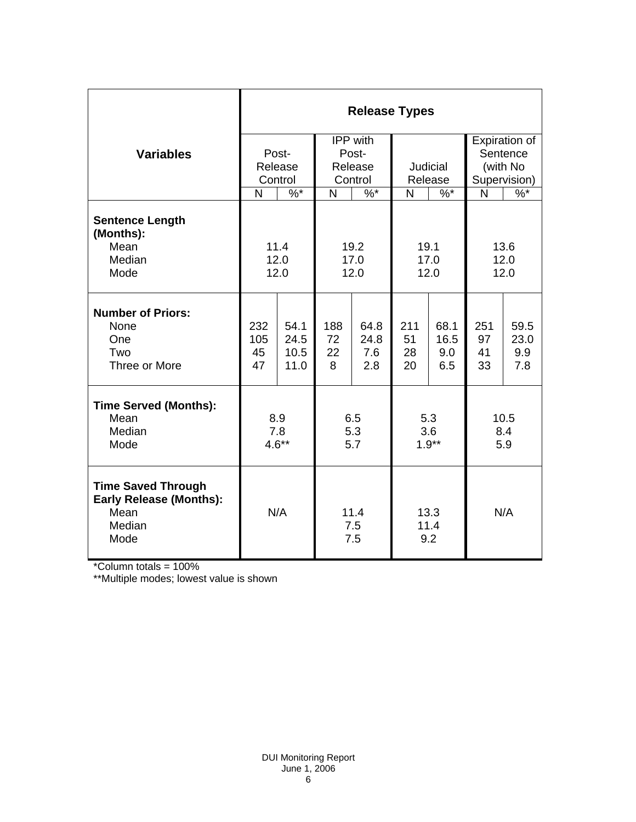|                                                                                       | <b>Release Types</b> |                   |                                            |             |                                    |             |                                                            |             |  |
|---------------------------------------------------------------------------------------|----------------------|-------------------|--------------------------------------------|-------------|------------------------------------|-------------|------------------------------------------------------------|-------------|--|
|                                                                                       |                      |                   | IPP with                                   |             |                                    |             | Expiration of                                              |             |  |
| <b>Variables</b>                                                                      |                      | Post-             | Post-<br>Release<br>Control<br>$\%$ *<br>N |             | Judicial<br>Release<br>N<br>$\%$ * |             | Sentence<br>(with No<br>Supervision)<br>$\sqrt[6]{6}$<br>N |             |  |
|                                                                                       |                      | Release           |                                            |             |                                    |             |                                                            |             |  |
|                                                                                       | N                    | Control<br>$\%$ * |                                            |             |                                    |             |                                                            |             |  |
|                                                                                       |                      |                   |                                            |             |                                    |             |                                                            |             |  |
| <b>Sentence Length</b><br>(Months):                                                   |                      |                   |                                            |             |                                    |             |                                                            |             |  |
| Mean                                                                                  |                      | 11.4              | 19.2                                       |             | 19.1                               |             | 13.6                                                       |             |  |
| Median                                                                                | 12.0                 |                   | 17.0                                       |             | 17.0                               |             | 12.0                                                       |             |  |
| Mode                                                                                  | 12.0<br>12.0         |                   | 12.0                                       |             | 12.0                               |             |                                                            |             |  |
| <b>Number of Priors:</b>                                                              |                      |                   |                                            |             |                                    |             |                                                            |             |  |
| None                                                                                  | 232                  | 54.1              | 188                                        | 64.8        | 211                                | 68.1        | 251                                                        | 59.5        |  |
| One<br>Two                                                                            | 105<br>45            | 24.5<br>10.5      | 72<br>22                                   | 24.8<br>7.6 | 51<br>28                           | 16.5<br>9.0 | 97<br>41                                                   | 23.0<br>9.9 |  |
| Three or More                                                                         | 47                   | 11.0              | 8                                          | 2.8         | 20                                 | 6.5         | 33                                                         | 7.8         |  |
|                                                                                       |                      |                   |                                            |             |                                    |             |                                                            |             |  |
| <b>Time Served (Months):</b>                                                          |                      |                   |                                            |             |                                    |             |                                                            |             |  |
| Mean                                                                                  | 8.9                  |                   | 6.5                                        |             | 5.3                                |             | 10.5                                                       |             |  |
| Median                                                                                | 7.8                  |                   | 5.3                                        |             | 3.6                                |             | 8.4                                                        |             |  |
| Mode                                                                                  | $4.6**$              |                   | 5.7                                        |             | $1.9**$                            |             | 5.9                                                        |             |  |
| <b>Time Saved Through</b><br><b>Early Release (Months):</b><br>Mean<br>Median<br>Mode | N/A                  |                   | 11.4<br>7.5<br>7.5                         |             | 13.3<br>11.4<br>9.2                |             | N/A                                                        |             |  |

\*Column totals = 100%

\*\*Multiple modes; lowest value is shown